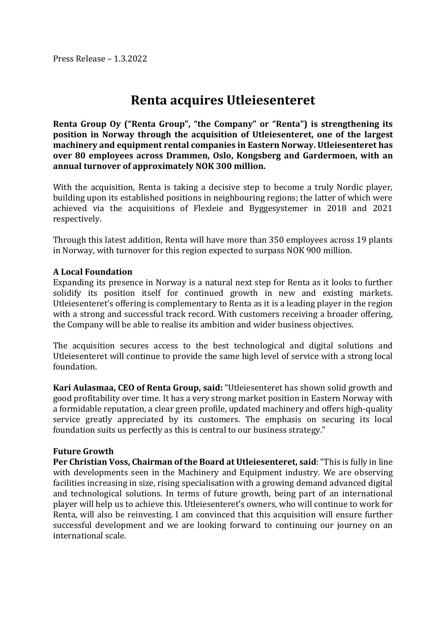Press Release – 1.3.2022

# **Renta acquires Utleiesenteret**

**Renta Group Oy ("Renta Group", "the Company" or "Renta") is strengthening its position in Norway through the acquisition of Utleiesenteret, one of the largest machinery and equipment rental companies in Eastern Norway. Utleiesenteret has over 80 employees across Drammen, Oslo, Kongsberg and Gardermoen, with an annual turnover of approximately NOK 300 million.**

With the acquisition, Renta is taking a decisive step to become a truly Nordic player, building upon its established positions in neighbouring regions; the latter of which were achieved via the acquisitions of Flexleie and Byggesystemer in 2018 and 2021 respectively.

Through this latest addition, Renta will have more than 350 employees across 19 plants in Norway, with turnover for this region expected to surpass NOK 900 million.

### **A Local Foundation**

Expanding its presence in Norway is a natural next step for Renta as it looks to further solidify its position itself for continued growth in new and existing markets. Utleiesenteret's offering is complementary to Renta as it is a leading player in the region with a strong and successful track record. With customers receiving a broader offering, the Company will be able to realise its ambition and wider business objectives.

The acquisition secures access to the best technological and digital solutions and Utleiesenteret will continue to provide the same high level of service with a strong local foundation.

**Kari Aulasmaa, CEO of Renta Group, said:** "Utleiesenteret has shown solid growth and good profitability over time. It has a very strong market position in Eastern Norway with a formidable reputation, a clear green profile, updated machinery and offers high-quality service greatly appreciated by its customers. The emphasis on securing its local foundation suits us perfectly as this is central to our business strategy."

#### **Future Growth**

**Per Christian Voss, Chairman of the Board at Utleiesenteret, said**: "This is fully in line with developments seen in the Machinery and Equipment industry. We are observing facilities increasing in size, rising specialisation with a growing demand advanced digital and technological solutions. In terms of future growth, being part of an international player will help us to achieve this. Utleiesenteret's owners, who will continue to work for Renta, will also be reinvesting. I am convinced that this acquisition will ensure further successful development and we are looking forward to continuing our journey on an international scale.